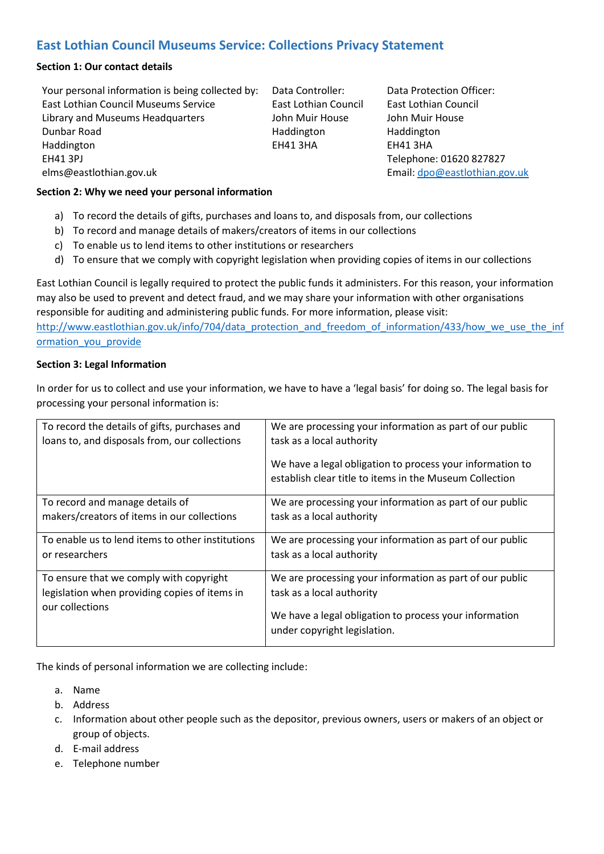# **East Lothian Council Museums Service: Collections Privacy Statement**

#### **Section 1: Our contact details**

Your personal information is being collected by: East Lothian Council Museums Service Library and Museums Headquarters Dunbar Road Haddington EH41 3PJ elms@eastlothian.gov.uk

Data Controller: East Lothian Council John Muir House Haddington EH41 3HA

Data Protection Officer: East Lothian Council John Muir House Haddington EH41 3HA Telephone: 01620 827827 Email[: dpo@eastlothian.gov.uk](mailto:dpo@eastlothian.gov.uk)

#### **Section 2: Why we need your personal information**

- a) To record the details of gifts, purchases and loans to, and disposals from, our collections
- b) To record and manage details of makers/creators of items in our collections
- c) To enable us to lend items to other institutions or researchers
- d) To ensure that we comply with copyright legislation when providing copies of items in our collections

East Lothian Council is legally required to protect the public funds it administers. For this reason, your information may also be used to prevent and detect fraud, and we may share your information with other organisations responsible for auditing and administering public funds. For more information, please visit:

[http://www.eastlothian.gov.uk/info/704/data\\_protection\\_and\\_freedom\\_of\\_information/433/how\\_we\\_use\\_the\\_inf](http://www.eastlothian.gov.uk/info/704/data_protection_and_freedom_of_information/433/how_we_use_the_information_you_provide) ormation you provide

#### **Section 3: Legal Information**

In order for us to collect and use your information, we have to have a 'legal basis' for doing so. The legal basis for processing your personal information is:

| To record the details of gifts, purchases and<br>loans to, and disposals from, our collections              | We are processing your information as part of our public<br>task as a local authority<br>We have a legal obligation to process your information to<br>establish clear title to items in the Museum Collection |
|-------------------------------------------------------------------------------------------------------------|---------------------------------------------------------------------------------------------------------------------------------------------------------------------------------------------------------------|
| To record and manage details of                                                                             | We are processing your information as part of our public                                                                                                                                                      |
| makers/creators of items in our collections                                                                 | task as a local authority                                                                                                                                                                                     |
| To enable us to lend items to other institutions                                                            | We are processing your information as part of our public                                                                                                                                                      |
| or researchers                                                                                              | task as a local authority                                                                                                                                                                                     |
| To ensure that we comply with copyright<br>legislation when providing copies of items in<br>our collections | We are processing your information as part of our public<br>task as a local authority<br>We have a legal obligation to process your information<br>under copyright legislation.                               |

The kinds of personal information we are collecting include:

- a. Name
- b. Address
- c. Information about other people such as the depositor, previous owners, users or makers of an object or group of objects.
- d. E-mail address
- e. Telephone number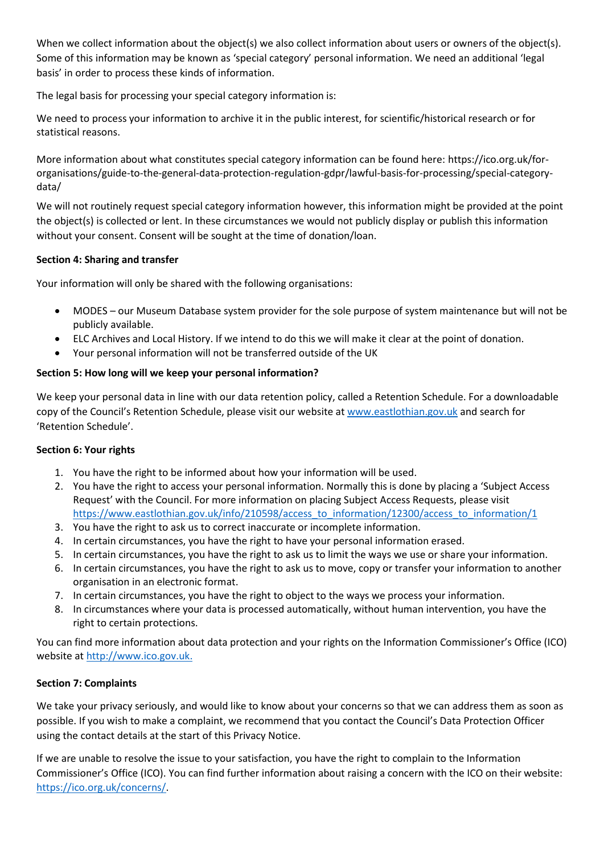When we collect information about the object(s) we also collect information about users or owners of the object(s). Some of this information may be known as 'special category' personal information. We need an additional 'legal basis' in order to process these kinds of information.

The legal basis for processing your special category information is:

We need to process your information to archive it in the public interest, for scientific/historical research or for statistical reasons.

More information about what constitutes special category information can be found here: https://ico.org.uk/fororganisations/guide-to-the-general-data-protection-regulation-gdpr/lawful-basis-for-processing/special-categorydata/

We will not routinely request special category information however, this information might be provided at the point the object(s) is collected or lent. In these circumstances we would not publicly display or publish this information without your consent. Consent will be sought at the time of donation/loan.

# **Section 4: Sharing and transfer**

Your information will only be shared with the following organisations:

- MODES our Museum Database system provider for the sole purpose of system maintenance but will not be publicly available.
- ELC Archives and Local History. If we intend to do this we will make it clear at the point of donation.
- Your personal information will not be transferred outside of the UK

# **Section 5: How long will we keep your personal information?**

We keep your personal data in line with our data retention policy, called a Retention Schedule. For a downloadable copy of the Council's Retention Schedule, please visit our website at [www.eastlothian.gov.uk](http://www.eastlothian.gov.uk/) and search for 'Retention Schedule'.

# **Section 6: Your rights**

- 1. You have the right to be informed about how your information will be used.
- 2. You have the right to access your personal information. Normally this is done by placing a 'Subject Access Request' with the Council. For more information on placing Subject Access Requests, please visit [https://www.eastlothian.gov.uk/info/210598/access\\_to\\_information/12300/access\\_to\\_information/1](https://www.eastlothian.gov.uk/info/210598/access_to_information/12300/access_to_information/1)
- 3. You have the right to ask us to correct inaccurate or incomplete information.
- 4. In certain circumstances, you have the right to have your personal information erased.
- 5. In certain circumstances, you have the right to ask us to limit the ways we use or share your information.
- 6. In certain circumstances, you have the right to ask us to move, copy or transfer your information to another organisation in an electronic format.
- 7. In certain circumstances, you have the right to object to the ways we process your information.
- 8. In circumstances where your data is processed automatically, without human intervention, you have the right to certain protections.

You can find more information about data protection and your rights on the Information Commissioner's Office (ICO) website at [http://www.ico.gov.uk.](http://www.ico.gov.uk/)

# **Section 7: Complaints**

We take your privacy seriously, and would like to know about your concerns so that we can address them as soon as possible. If you wish to make a complaint, we recommend that you contact the Council's Data Protection Officer using the contact details at the start of this Privacy Notice.

If we are unable to resolve the issue to your satisfaction, you have the right to complain to the Information Commissioner's Office (ICO). You can find further information about raising a concern with the ICO on their website: [https://ico.org.uk/concerns/.](https://ico.org.uk/concerns/)